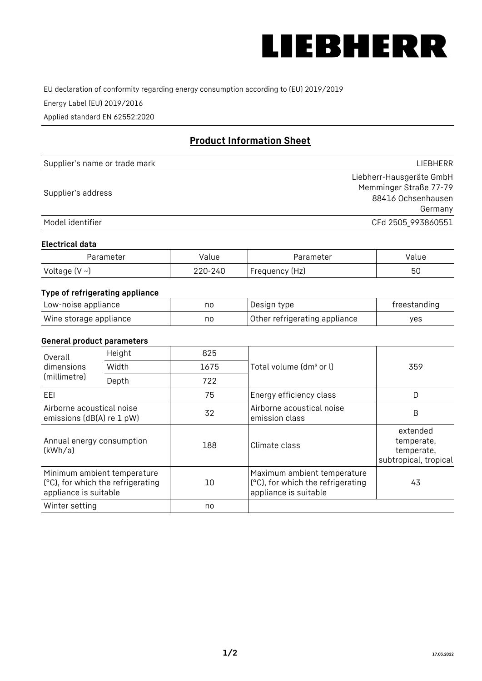

EU declaration of conformity regarding energy consumption according to (EU) 2019/2019

Energy Label (EU) 2019/2016

Applied standard EN 62552:2020

# **Product Information Sheet**

| Supplier's name or trade mark | LIEBHERR                 |
|-------------------------------|--------------------------|
|                               | Liebherr-Hausgeräte GmbH |
| Supplier's address            | Memminger Straße 77-79   |
|                               | 88416 Ochsenhausen       |
|                               | Germany                  |
| Model identifier              | CFd 2505_993860551       |

#### **Electrical data**

| Parameter           | Value   | Parameter      | Value |
|---------------------|---------|----------------|-------|
| Voltage (V $\sim$ ) | 220-240 | Frequency (Hz) | 50    |

## **Type of refrigerating appliance**

| Low-noise appliance    | nc | Design type                   | freestanding |
|------------------------|----|-------------------------------|--------------|
| Wine storage appliance | nc | Other refrigerating appliance | ves          |

### **General product parameters**

| Height<br>Overall                                      |                                                                  | 825  |                                                                                           |                                                               |
|--------------------------------------------------------|------------------------------------------------------------------|------|-------------------------------------------------------------------------------------------|---------------------------------------------------------------|
| dimensions<br>(millimetre)                             | Width                                                            | 1675 | Total volume (dm <sup>3</sup> or l)                                                       | 359                                                           |
|                                                        | Depth                                                            | 722  |                                                                                           |                                                               |
| EEL                                                    |                                                                  | 75   | Energy efficiency class                                                                   | D                                                             |
| Airborne acoustical noise<br>emissions (dB(A) re 1 pW) |                                                                  | 32   | Airborne acoustical noise<br>emission class                                               | B                                                             |
| Annual energy consumption<br>(kWh/a)                   |                                                                  | 188  | Climate class                                                                             | extended<br>temperate,<br>temperate,<br>subtropical, tropical |
| appliance is suitable                                  | Minimum ambient temperature<br>(°C), for which the refrigerating | 10   | Maximum ambient temperature<br>(°C), for which the refrigerating<br>appliance is suitable | 43                                                            |
| Winter setting                                         |                                                                  | no   |                                                                                           |                                                               |